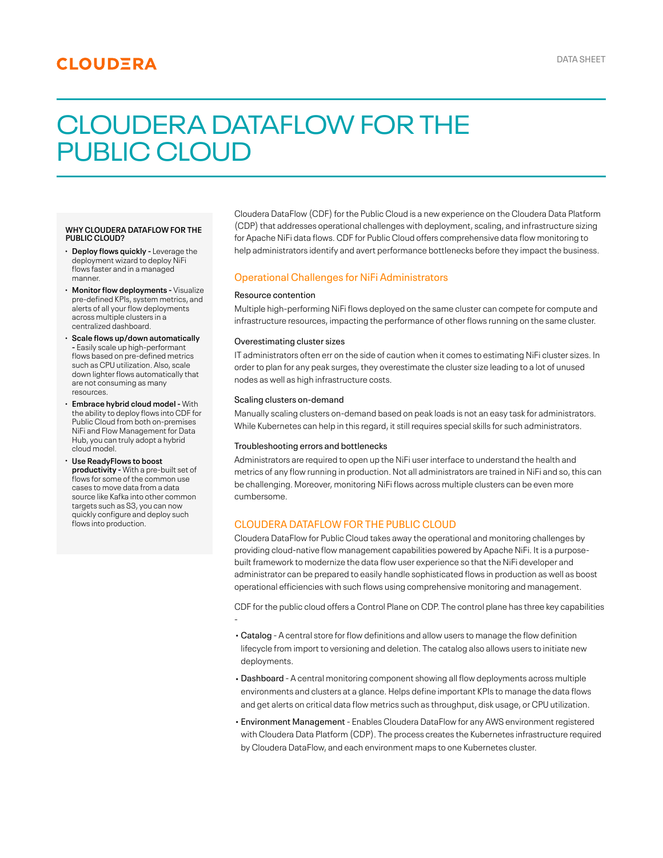# **CLOUDERA**

# CLOUDERA DATAFLOW FOR THE PUBLIC CLOUD

#### **WHY CLOUDERA DATAFLOW FOR THE PUBLIC CLOUD?**

- **· Deploy flows quickly Leverage the** deployment wizard to deploy NiFi flows faster and in a managed manner.
- **Monitor flow deployments** Visualize · pre-defined KPIs, system metrics, and alerts of all your flow deployments across multiple clusters in a centralized dashboard.
- **Scale flows up/down automatically** · **-** Easily scale up high-performant flows based on pre-defined metrics such as CPU utilization. Also, scale down lighter flows automatically that are not consuming as many resources.
- **Embrace hybrid cloud model-** With · the ability to deploy flows into CDF for Public Cloud from both on-premises NiFi and Flow Management for Data Hub, you can truly adopt a hybrid cloud model.
- **Use ReadyFlows to boost** · **productivity -** With a pre-built set of flows for some of the common use cases to move data from a data source like Kafka into other common targets such as S3, you can now quickly configure and deploy such flows into production.

Cloudera DataFlow (CDF) for the Public Cloud is a new experience on the Cloudera Data Platform (CDP) that addresses operational challenges with deployment, scaling, and infrastructure sizing for Apache NiFi data flows. CDF for Public Cloud offers comprehensive data flow monitoring to help administrators identify and avert performance bottlenecks before they impact the business.

## Operational Challenges for NiFi Administrators

#### Resource contention

Multiple high-performing NiFi flows deployed on the same cluster can compete for compute and infrastructure resources, impacting the performance of other flows running on the same cluster.

#### Overestimating cluster sizes

IT administrators often err on the side of caution when it comes to estimating NiFi cluster sizes. In order to plan for any peak surges, they overestimate the cluster size leading to a lot of unused nodes as well as high infrastructure costs.

#### Scaling clusters on-demand

Manually scaling clusters on-demand based on peak loads is not an easy task for administrators. While Kubernetes can help in this regard, it still requires special skills for such administrators.

#### Troubleshooting errors and bottlenecks

Administrators are required to open up the NiFi user interface to understand the health and metrics of any flow running in production. Not all administrators are trained in NiFi and so, this can be challenging. Moreover, monitoring NiFi flows across multiple clusters can be even more cumbersome.

### CLOUDERA DATAFLOW FOR THE PUBLIC CLOUD

Cloudera DataFlow for Public Cloud takes away the operational and monitoring challenges by providing cloud-native flow management capabilities powered by Apache NiFi. It is a purposebuilt framework to modernize the data flow user experience so that the NiFi developer and administrator can be prepared to easily handle sophisticated flows in production as well as boost operational efficiencies with such flows using comprehensive monitoring and management.

CDF for the public cloud offers a Control Plane on CDP. The control plane has three key capabilities -

- Catalog A central store for flow definitions and allow users to manage the flow definition lifecycle from import to versioning and deletion. The catalog also allows users to initiate new deployments.
- Dashboard A central monitoring component showing all flow deployments across multiple environments and clusters at a glance. Helps define important KPIs to manage the data flows and get alerts on critical data flow metrics such as throughput, disk usage, or CPU utilization.
- Environment Management Enables Cloudera DataFlow for any AWS environment registered with Cloudera Data Platform (CDP). The process creates the Kubernetes infrastructure required by Cloudera DataFlow, and each environment maps to one Kubernetes cluster.